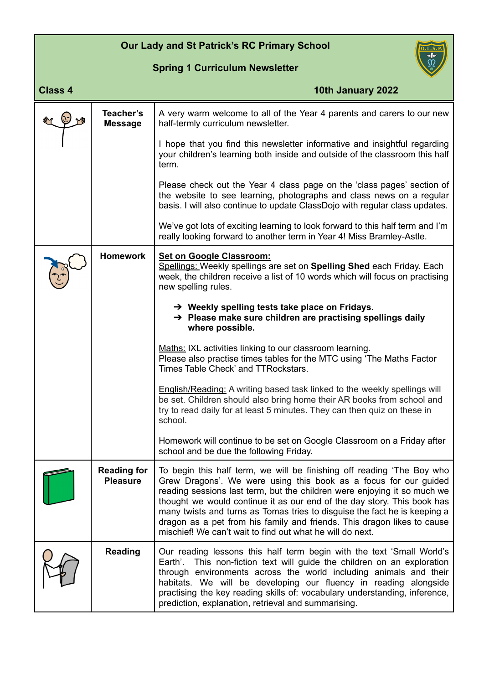## **Our Lady and St Patrick's RC Primary School**

## **Spring 1 Curriculum Newsletter**



| <b>Class 4</b> |                                       | 10th January 2022                                                                                                                                                                                                                                                                                                                                                                                                                                                                                                      |
|----------------|---------------------------------------|------------------------------------------------------------------------------------------------------------------------------------------------------------------------------------------------------------------------------------------------------------------------------------------------------------------------------------------------------------------------------------------------------------------------------------------------------------------------------------------------------------------------|
|                | Teacher's<br><b>Message</b>           | A very warm welcome to all of the Year 4 parents and carers to our new<br>half-termly curriculum newsletter.                                                                                                                                                                                                                                                                                                                                                                                                           |
|                |                                       | I hope that you find this newsletter informative and insightful regarding<br>your children's learning both inside and outside of the classroom this half<br>term.                                                                                                                                                                                                                                                                                                                                                      |
|                |                                       | Please check out the Year 4 class page on the 'class pages' section of<br>the website to see learning, photographs and class news on a regular<br>basis. I will also continue to update ClassDojo with regular class updates.                                                                                                                                                                                                                                                                                          |
|                |                                       | We've got lots of exciting learning to look forward to this half term and I'm<br>really looking forward to another term in Year 4! Miss Bramley-Astle.                                                                                                                                                                                                                                                                                                                                                                 |
|                | <b>Homework</b>                       | <b>Set on Google Classroom:</b><br>Spellings: Weekly spellings are set on Spelling Shed each Friday. Each<br>week, the children receive a list of 10 words which will focus on practising<br>new spelling rules.                                                                                                                                                                                                                                                                                                       |
|                |                                       | $\rightarrow$ Weekly spelling tests take place on Fridays.<br>→ Please make sure children are practising spellings daily<br>where possible.                                                                                                                                                                                                                                                                                                                                                                            |
|                |                                       | Maths: IXL activities linking to our classroom learning.<br>Please also practise times tables for the MTC using 'The Maths Factor<br>Times Table Check' and TTRockstars.                                                                                                                                                                                                                                                                                                                                               |
|                |                                       | <b>English/Reading:</b> A writing based task linked to the weekly spellings will<br>be set. Children should also bring home their AR books from school and<br>try to read daily for at least 5 minutes. They can then quiz on these in<br>school.                                                                                                                                                                                                                                                                      |
|                |                                       | Homework will continue to be set on Google Classroom on a Friday after<br>school and be due the following Friday.                                                                                                                                                                                                                                                                                                                                                                                                      |
|                | <b>Reading for</b><br><b>Pleasure</b> | To begin this half term, we will be finishing off reading 'The Boy who<br>Grew Dragons'. We were using this book as a focus for our guided<br>reading sessions last term, but the children were enjoying it so much we<br>thought we would continue it as our end of the day story. This book has<br>many twists and turns as Tomas tries to disguise the fact he is keeping a<br>dragon as a pet from his family and friends. This dragon likes to cause<br>mischief! We can't wait to find out what he will do next. |
|                | <b>Reading</b>                        | Our reading lessons this half term begin with the text 'Small World's<br>This non-fiction text will guide the children on an exploration<br>Earth'.<br>through environments across the world including animals and their<br>habitats. We will be developing our fluency in reading alongside<br>practising the key reading skills of: vocabulary understanding, inference,<br>prediction, explanation, retrieval and summarising.                                                                                      |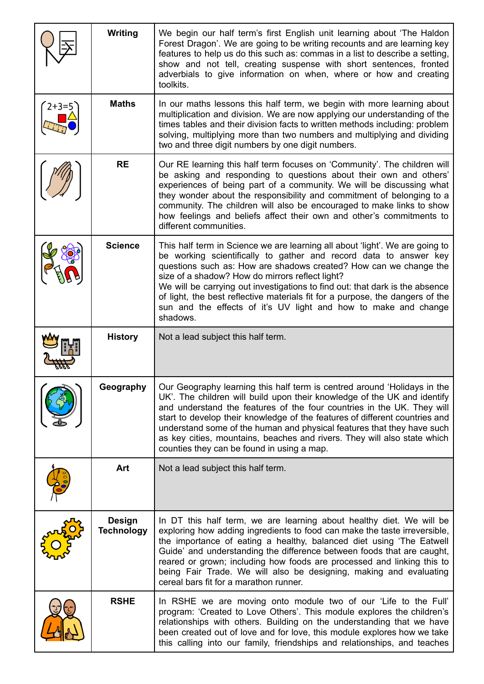|         | <b>Writing</b>                     | We begin our half term's first English unit learning about 'The Haldon<br>Forest Dragon'. We are going to be writing recounts and are learning key<br>features to help us do this such as: commas in a list to describe a setting,<br>show and not tell, creating suspense with short sentences, fronted<br>adverbials to give information on when, where or how and creating<br>toolkits.                                                                                                                                |
|---------|------------------------------------|---------------------------------------------------------------------------------------------------------------------------------------------------------------------------------------------------------------------------------------------------------------------------------------------------------------------------------------------------------------------------------------------------------------------------------------------------------------------------------------------------------------------------|
| $2+3=5$ | <b>Maths</b>                       | In our maths lessons this half term, we begin with more learning about<br>multiplication and division. We are now applying our understanding of the<br>times tables and their division facts to written methods including: problem<br>solving, multiplying more than two numbers and multiplying and dividing<br>two and three digit numbers by one digit numbers.                                                                                                                                                        |
|         | <b>RE</b>                          | Our RE learning this half term focuses on 'Community'. The children will<br>be asking and responding to questions about their own and others'<br>experiences of being part of a community. We will be discussing what<br>they wonder about the responsibility and commitment of belonging to a<br>community. The children will also be encouraged to make links to show<br>how feelings and beliefs affect their own and other's commitments to<br>different communities.                                                 |
|         | <b>Science</b>                     | This half term in Science we are learning all about 'light'. We are going to<br>be working scientifically to gather and record data to answer key<br>questions such as: How are shadows created? How can we change the<br>size of a shadow? How do mirrors reflect light?<br>We will be carrying out investigations to find out: that dark is the absence<br>of light, the best reflective materials fit for a purpose, the dangers of the<br>sun and the effects of it's UV light and how to make and change<br>shadows. |
|         | <b>History</b>                     | Not a lead subject this half term.                                                                                                                                                                                                                                                                                                                                                                                                                                                                                        |
|         | Geography                          | Our Geography learning this half term is centred around 'Holidays in the<br>UK'. The children will build upon their knowledge of the UK and identify<br>and understand the features of the four countries in the UK. They will<br>start to develop their knowledge of the features of different countries and<br>understand some of the human and physical features that they have such<br>as key cities, mountains, beaches and rivers. They will also state which<br>counties they can be found in using a map.         |
|         | Art                                | Not a lead subject this half term.                                                                                                                                                                                                                                                                                                                                                                                                                                                                                        |
|         | <b>Design</b><br><b>Technology</b> | In DT this half term, we are learning about healthy diet. We will be<br>exploring how adding ingredients to food can make the taste irreversible,<br>the importance of eating a healthy, balanced diet using 'The Eatwell<br>Guide' and understanding the difference between foods that are caught,<br>reared or grown; including how foods are processed and linking this to<br>being Fair Trade. We will also be designing, making and evaluating<br>cereal bars fit for a marathon runner.                             |
|         | <b>RSHE</b>                        | In RSHE we are moving onto module two of our 'Life to the Full'<br>program: 'Created to Love Others'. This module explores the children's<br>relationships with others. Building on the understanding that we have<br>been created out of love and for love, this module explores how we take<br>this calling into our family, friendships and relationships, and teaches                                                                                                                                                 |